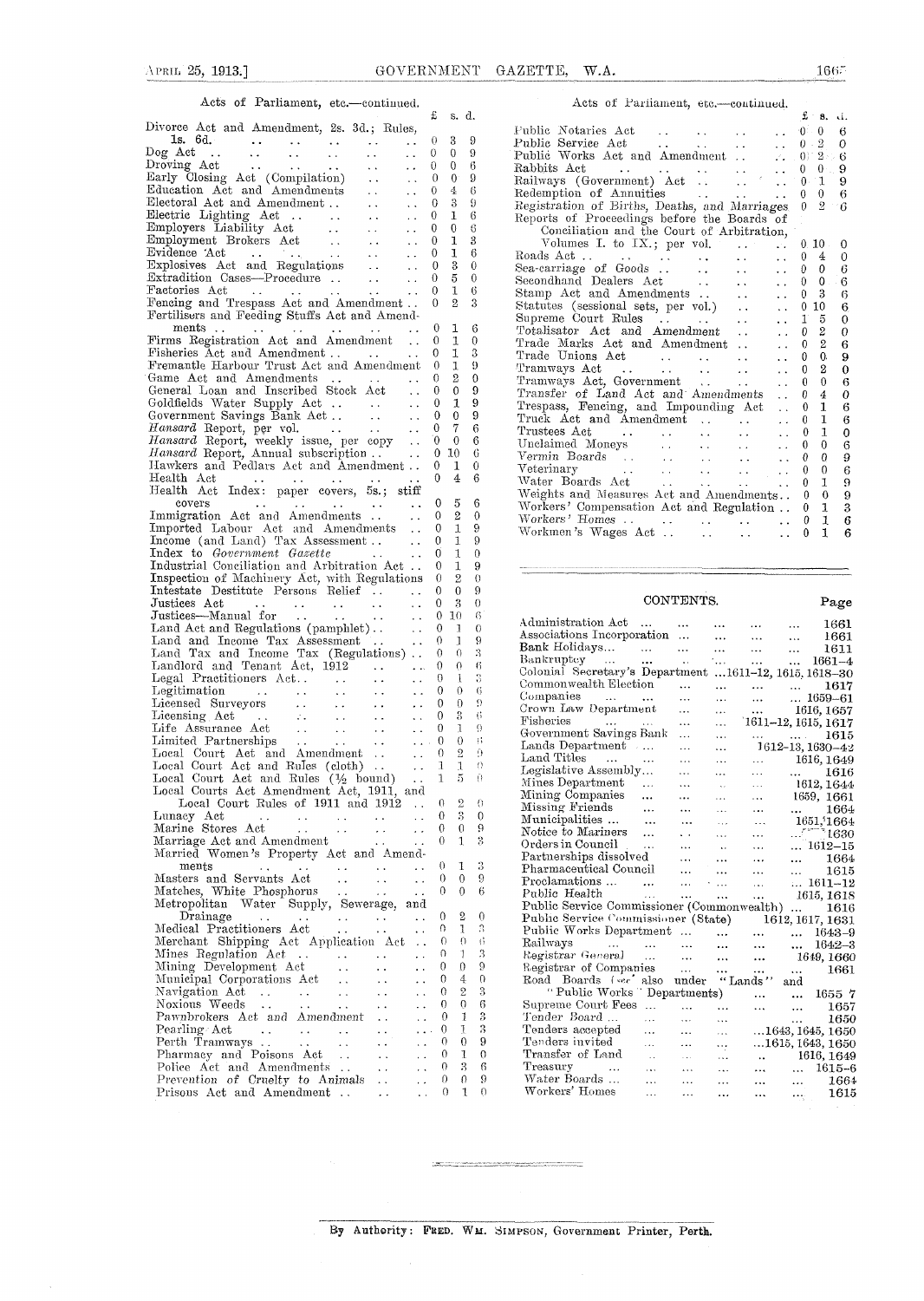$\sim$ 

#### Acts of Parliament, etc.—continued.

| $\cdots$ $\cdots$ $\cdots$<br>vuv.<br>continuou.                                                                                                                                                                                                                                                                                                                                                                                                                          | £                                             | s.                      | d.                         |
|---------------------------------------------------------------------------------------------------------------------------------------------------------------------------------------------------------------------------------------------------------------------------------------------------------------------------------------------------------------------------------------------------------------------------------------------------------------------------|-----------------------------------------------|-------------------------|----------------------------|
| Divorce Act and Amendment, 2s. 3d.; Rules,                                                                                                                                                                                                                                                                                                                                                                                                                                |                                               |                         |                            |
| . .                                                                                                                                                                                                                                                                                                                                                                                                                                                                       | 0                                             | 3                       | 9                          |
| $\ddot{\phantom{a}}$                                                                                                                                                                                                                                                                                                                                                                                                                                                      | 0                                             | 0                       | 9                          |
| $\ddot{\phantom{a}}$                                                                                                                                                                                                                                                                                                                                                                                                                                                      | 0                                             | 0                       | 6                          |
| $\ddot{\phantom{a}}$ .                                                                                                                                                                                                                                                                                                                                                                                                                                                    | 0                                             | 0 <sup>1</sup>          | 9                          |
| $\sim$ $\sim$                                                                                                                                                                                                                                                                                                                                                                                                                                                             | 0                                             | 4                       | 6                          |
| $\ddot{\phantom{0}}$                                                                                                                                                                                                                                                                                                                                                                                                                                                      | 0                                             | 3                       | 9                          |
| $\epsilon$ .                                                                                                                                                                                                                                                                                                                                                                                                                                                              | 0                                             | T                       | 6                          |
| $\mathcal{L}(\mathcal{A})$                                                                                                                                                                                                                                                                                                                                                                                                                                                | 0                                             | 0                       | 6                          |
| $\ddotsc$                                                                                                                                                                                                                                                                                                                                                                                                                                                                 | 0                                             | ı                       | 3                          |
| $\ddot{\phantom{a}}$                                                                                                                                                                                                                                                                                                                                                                                                                                                      | 0                                             | ı                       | 6                          |
| $\ddot{\phantom{a}}$ .                                                                                                                                                                                                                                                                                                                                                                                                                                                    | 0                                             | 3                       | 0                          |
| $\ddotsc$                                                                                                                                                                                                                                                                                                                                                                                                                                                                 | 0                                             | 5                       | 0                          |
| Factories Act<br>$\ddot{\phantom{a}}$<br>$\ddot{\phantom{a}}$                                                                                                                                                                                                                                                                                                                                                                                                             | 0                                             | 1                       | 6                          |
| Fencing and Trespass Act and Amendment                                                                                                                                                                                                                                                                                                                                                                                                                                    | 0                                             | $\overline{2}$          | 3                          |
| Fertilisers and Feeding Stuffs Act and Amend-                                                                                                                                                                                                                                                                                                                                                                                                                             |                                               |                         |                            |
| $ments \dots$<br>ments<br>Firms Registration Act and Amendment                                                                                                                                                                                                                                                                                                                                                                                                            | 0                                             | 1                       | 6                          |
|                                                                                                                                                                                                                                                                                                                                                                                                                                                                           | 0                                             | 1                       | 0                          |
| Fisheries Act and Amendment                                                                                                                                                                                                                                                                                                                                                                                                                                               | 0                                             | 1                       | 3                          |
| Fremantle Harbour Trust Act and Amendment                                                                                                                                                                                                                                                                                                                                                                                                                                 | $\theta$                                      | 1                       | 9                          |
| Game Act and Amendments<br>$\sim 100$ km $^{-1}$                                                                                                                                                                                                                                                                                                                                                                                                                          | 0                                             | $\overline{2}$          | 0                          |
| General Loan and Inscribed Stock Act<br>$\ddotsc$                                                                                                                                                                                                                                                                                                                                                                                                                         | 0                                             | 0                       | 9                          |
| Goldfields Water Supply Act<br>Government Savings Bank Act<br>$\ddotsc$                                                                                                                                                                                                                                                                                                                                                                                                   | 0                                             | 1                       | 9                          |
| $\ddotsc$                                                                                                                                                                                                                                                                                                                                                                                                                                                                 | 0                                             | 0                       | 9                          |
| Hansard Report, per vol.<br>$\sim$ $\sim$                                                                                                                                                                                                                                                                                                                                                                                                                                 | 0                                             | 7                       | 6                          |
| Hansard Report, per vol.<br>Hansard Report, weekly issue, per copy<br>Hansard Report, Annual subscription<br>$\sim$ $\sim$                                                                                                                                                                                                                                                                                                                                                | 0                                             | 0                       | 6                          |
|                                                                                                                                                                                                                                                                                                                                                                                                                                                                           | 0                                             | -10                     | 6                          |
| Hawkers and Pedlars Act and Amendment                                                                                                                                                                                                                                                                                                                                                                                                                                     | 0                                             | 1                       | 0                          |
| Health Act                                                                                                                                                                                                                                                                                                                                                                                                                                                                | 0                                             | 4                       | 6                          |
|                                                                                                                                                                                                                                                                                                                                                                                                                                                                           |                                               |                         |                            |
| covers<br>$\sim$ $\sim$                                                                                                                                                                                                                                                                                                                                                                                                                                                   | 0                                             | 5                       | 6                          |
| covers<br>Immigration Act and Amendments                                                                                                                                                                                                                                                                                                                                                                                                                                  | 0                                             | 2                       | 0                          |
| Imported Labour Act and Amendments                                                                                                                                                                                                                                                                                                                                                                                                                                        | 0                                             | 1                       | 9                          |
| Income (and Land) Tax Assessment<br>$\sim$ .                                                                                                                                                                                                                                                                                                                                                                                                                              | 0                                             | 1                       | 9                          |
| Index to Government Gazette<br>$\sim$ $\sim$                                                                                                                                                                                                                                                                                                                                                                                                                              | 0                                             | 1                       | 0                          |
| Industrial Conciliation and Arbitration Act                                                                                                                                                                                                                                                                                                                                                                                                                               | 0                                             | 1                       | 9                          |
| Inspection of Machinery Act, with Regulations                                                                                                                                                                                                                                                                                                                                                                                                                             | 0                                             | $\overline{2}$          | 0                          |
| Intestate Destitute Persons Relief                                                                                                                                                                                                                                                                                                                                                                                                                                        | 0                                             | 0                       | 9                          |
| Justices Act<br>$\ddot{\phantom{0}}$<br>$rac{1}{\sqrt{1+\frac{1}{\sqrt{1+\frac{1}{\sqrt{1+\frac{1}{\sqrt{1+\frac{1}{\sqrt{1+\frac{1}{\sqrt{1+\frac{1}{\sqrt{1+\frac{1}{\sqrt{1+\frac{1}{\sqrt{1+\frac{1}{\sqrt{1+\frac{1}{\sqrt{1+\frac{1}{\sqrt{1+\frac{1}{\sqrt{1+\frac{1}{\sqrt{1+\frac{1}{\sqrt{1+\frac{1}{\sqrt{1+\frac{1}{\sqrt{1+\frac{1}{\sqrt{1+\frac{1}{\sqrt{1+\frac{1}{\sqrt{1+\frac{1}{\sqrt{1+\frac{1}{\sqrt{1+\frac{1}{\sqrt{1+\frac{1}{\sqrt{1+\frac{1}{$ | 0                                             | 3                       | 0                          |
| Justices Act<br>Justices—Manual for<br>$\bar{\omega}$ .                                                                                                                                                                                                                                                                                                                                                                                                                   | 0                                             | 10                      | в                          |
| Land Act and Regulations (pamphlet)<br>$\ddot{\phantom{a}}$                                                                                                                                                                                                                                                                                                                                                                                                               | 0                                             | 1                       | 0                          |
| Land and Income Tax Assessment<br>$\ddot{\phantom{0}}$                                                                                                                                                                                                                                                                                                                                                                                                                    | 0                                             | 1                       | 9                          |
| Land Tax and Income Tax (Regulations)                                                                                                                                                                                                                                                                                                                                                                                                                                     | 0                                             | 0                       | 3                          |
| Landlord and Tenant Act, 1912                                                                                                                                                                                                                                                                                                                                                                                                                                             | 0                                             | 0                       | 6                          |
|                                                                                                                                                                                                                                                                                                                                                                                                                                                                           | 0<br>$\ddotsc$                                | Ĵ.                      | 3                          |
|                                                                                                                                                                                                                                                                                                                                                                                                                                                                           | 0<br>$\ddot{\phantom{a}}$                     | $\theta$                | 6                          |
|                                                                                                                                                                                                                                                                                                                                                                                                                                                                           | 0<br>$\ddot{\phantom{1}}$                     | 0                       | 9                          |
| Lieensing Act<br>Lieensing Act<br>Lieensing Act<br>Lieensing Act<br>Limited Partnerships<br>Local Court Act and Amendment<br>Local Court Act and Rules (1/2 bound)<br>Local Court Act and Rules (1/2 bound)<br>Local Court Act and Rules (1/2                                                                                                                                                                                                                             | 0                                             | 3                       | 6                          |
|                                                                                                                                                                                                                                                                                                                                                                                                                                                                           | 0                                             | 1                       | 9                          |
|                                                                                                                                                                                                                                                                                                                                                                                                                                                                           | $\mathcal{L}(\mathbf{x})$ .<br>$\overline{0}$ | 0                       | 8                          |
|                                                                                                                                                                                                                                                                                                                                                                                                                                                                           | $\mathcal{L}(\mathcal{L})$ .                  | $\overline{2}$<br>$0 -$ | 9                          |
|                                                                                                                                                                                                                                                                                                                                                                                                                                                                           | 1                                             | 1                       | 0                          |
|                                                                                                                                                                                                                                                                                                                                                                                                                                                                           | 1                                             | 5                       | Ō                          |
| Local Courts Act Amendment Act, 1911, and                                                                                                                                                                                                                                                                                                                                                                                                                                 |                                               |                         |                            |
| Local Court Rules of 1911 and 1912                                                                                                                                                                                                                                                                                                                                                                                                                                        | 0                                             | 2                       | 0                          |
| Lunacy Act<br>$\begin{array}{l} \left( \begin{array}{cc} 1 & 1 \\ 1 & 1 \end{array} \right) & \left( \begin{array}{cc} 1 & 1 \\ 1 & 1 \end{array} \right) \\ \left( \begin{array}{cc} 1 & 1 \\ 1 & 1 \end{array} \right) & \left( \begin{array}{cc} 1 & 1 \\ 1 & 1 \end{array} \right) & \left( \begin{array}{cc} 1 & 1 \\ 1 & 1 \end{array} \right) \\ \end{array}$<br>$\frac{1}{4\pi}$                                                                                  | 0<br>$\ddot{\phantom{0}}$                     | $\overline{\mathbf{3}}$ | 0                          |
| Marine Stores Act<br>$\ddot{\phantom{0}}$ .                                                                                                                                                                                                                                                                                                                                                                                                                               | 0                                             | 0                       | ġ.                         |
| Marriage Act and Amendment<br>$\epsilon$ .                                                                                                                                                                                                                                                                                                                                                                                                                                | 0<br>$\ddotsc$                                | 1                       | 3                          |
| Married Women's Property Act and Amend-                                                                                                                                                                                                                                                                                                                                                                                                                                   |                                               |                         |                            |
| ments<br>$\sim$ $\sim$<br>. .                                                                                                                                                                                                                                                                                                                                                                                                                                             | 0                                             | 1                       | 3                          |
| Masters and Servants Act<br>$\ddot{\phantom{1}}$ .<br>$\sim$ $\sim$                                                                                                                                                                                                                                                                                                                                                                                                       | 0<br>$\sim$ $\sim$                            | 0                       | 9                          |
|                                                                                                                                                                                                                                                                                                                                                                                                                                                                           | 0                                             | $\Omega$                | 6                          |
|                                                                                                                                                                                                                                                                                                                                                                                                                                                                           |                                               |                         |                            |
| Drainage<br>Medical Practitioners Act<br>$\epsilon(\epsilon) = \epsilon(\epsilon(\epsilon))$                                                                                                                                                                                                                                                                                                                                                                              | 0<br>$\ddot{\phantom{1}}$                     | $\boldsymbol{2}$        | 0                          |
| $\sim$ $\sim$<br>$\ddot{\phantom{a}}$                                                                                                                                                                                                                                                                                                                                                                                                                                     | $\ddot{\phantom{1}}$                          | 1<br>0                  | $_{\rm 3}$                 |
| Merchant Shipping Act Application Act                                                                                                                                                                                                                                                                                                                                                                                                                                     | $\ddotsc$                                     | $\theta$<br>0           | 6                          |
| Mines Regulation Act                                                                                                                                                                                                                                                                                                                                                                                                                                                      |                                               | 1<br>0                  | 3                          |
| Mining Development Act<br>$\sim$ $\sim$                                                                                                                                                                                                                                                                                                                                                                                                                                   |                                               | 0<br>0                  | 9                          |
| Municipal Corporations Act<br>$\ddot{\phantom{0}}$                                                                                                                                                                                                                                                                                                                                                                                                                        |                                               | 4<br>0                  | $\Omega$                   |
| Navigation Act<br>Noxious Weeds<br>. .                                                                                                                                                                                                                                                                                                                                                                                                                                    |                                               | 2<br>0                  | $\boldsymbol{\mathcal{S}}$ |
| . .                                                                                                                                                                                                                                                                                                                                                                                                                                                                       |                                               | 0<br>0                  | 6                          |
| Pawnbrokers Act and Amendment<br>$\sim$ $\sim$                                                                                                                                                                                                                                                                                                                                                                                                                            |                                               | 1<br>0                  | $\overline{\mathbf{3}}$    |
| Pearling Act<br>Perth Tramways<br>$\rightarrow$ $\rightarrow$<br>$\ddotsc$                                                                                                                                                                                                                                                                                                                                                                                                | $\ddotsc$                                     | 1<br>0                  | $\boldsymbol{\mathcal{S}}$ |
| Perth Tramways<br>Pharmacy and Poisons Act                                                                                                                                                                                                                                                                                                                                                                                                                                |                                               | 0<br>0                  | 9                          |
|                                                                                                                                                                                                                                                                                                                                                                                                                                                                           |                                               | 1<br>0                  | $\mathbf{0}$               |
| Police Act and Amendments                                                                                                                                                                                                                                                                                                                                                                                                                                                 |                                               | 0                       | 3 <sub>6</sub>             |
| Prevention of Cruelty to Animals<br>$\ddot{\phantom{a}}$                                                                                                                                                                                                                                                                                                                                                                                                                  |                                               | $\Omega$<br>0           | $^{9}$                     |
| Prisons Act and Amendment                                                                                                                                                                                                                                                                                                                                                                                                                                                 |                                               | 1<br>0                  | 0                          |
|                                                                                                                                                                                                                                                                                                                                                                                                                                                                           |                                               |                         |                            |

| Acts of Parliament, etc.-continued.                                   |                              |                              |              |                |              |
|-----------------------------------------------------------------------|------------------------------|------------------------------|--------------|----------------|--------------|
|                                                                       |                              |                              | £            | 8.             | d.           |
| Public Notaries Act<br>and the state of the state of the              |                              | $\ddot{\phantom{0}}$         | $0 -$        | $\mathbf{0}$   | 6            |
| Public Service Act                                                    |                              |                              | $0 -$        | $\overline{2}$ | 0            |
|                                                                       |                              | $\mathcal{L}_{\text{max}}$ . |              | $0.12 - 2.12$  | 6            |
|                                                                       |                              | $\ddot{\phantom{a}}$         | $\mathbf{0}$ | 0 <sub>1</sub> | 9            |
|                                                                       |                              |                              | $0 -$        | $\mathbf{1}$   | 9            |
| Redemption of Annuities<br>and the contract of the con-               |                              | $\ddotsc$                    | $\Omega$     | $\Omega$       | 6            |
| Registration of Births, Deaths, and Marriages                         |                              |                              | $\Omega$     | $\overline{2}$ | ැර           |
| Reports of Proceedings before the Boards of                           |                              |                              |              |                |              |
| Conciliation and the Court of Arbitration,                            |                              |                              |              |                |              |
| Volumes I. to $IX.$ ; per vol. $\cdots$                               |                              | $\mathcal{L}$                |              | $0.10$ .       | 0            |
|                                                                       | $\mathbf{r}$                 | $\ddot{\phantom{0}}$         | 0            | $\overline{4}$ | 0            |
| Sea-carriage of Goods                                                 | $\mathbf{L}$                 | $\ddot{\phantom{0}}$         | 0            | 0              | 6            |
| Secondhand Dealers Act                                                | $\mathcal{L}(\mathcal{L})$ . | $\ddot{\phantom{0}}$         | 0            | $0 -$          | 6            |
| Stamp Act and Amendments                                              | $\ddot{\phantom{a}}$         | $\ddot{\phantom{0}}$         | 0            | 3              | 6            |
| Statutes (sessional sets, per vol.)                                   | $\sim 10$                    | $\ddot{\phantom{0}}$         | 0            | 10             | 6            |
| Supreme Court Rules<br>Totalisator Act and Amendment                  | $\ddotsc$                    | $\ddot{\phantom{0}}$         | $1^{\circ}$  | 5              | $\mathbf{0}$ |
|                                                                       | $\ddot{\phantom{a}}$         | $\ddot{\phantom{0}}$         | 0            | $\overline{2}$ | 0            |
| Trade Marks Act and Amendment                                         | $\ddot{\phantom{a}}$         | $\ddot{\phantom{0}}$         | 0            | 2              | 6            |
| Trade Unions Act                                                      | $\mathbf{r}$                 | . .                          | 0            | 0.             | 9            |
| $\text{Transways} \text{ Act} \quad \ldots \quad \ldots \quad \ldots$ |                              | . .                          | 0            | $\overline{2}$ | 0            |
| Tramways Act, Government                                              |                              | $\ddot{\phantom{0}}$         | 0            | $\mathbf{0}$   | 6            |
| Transfer of Land Act and Amendments                                   |                              | . .                          | 0            | $\overline{4}$ | 0            |
| Trespass, Fencing, and Impounding Act                                 |                              | $\ddot{\phantom{0}}$         | 0            | 1              | 6            |
| Truck Act and Amendment                                               |                              | $\ddot{\phantom{0}}$         | 0            | $\mathbf{I}$   | 6            |
| $\mathbf{A}$                                                          | $\mathbf{L}$                 | $\ddot{\phantom{0}}$         | 0            | 1              | 0            |
| Unclaimed Moneys<br>$\sim 10^{-11}$                                   | $\mathbf{L}$                 | $\ddot{\phantom{0}}$         | 0            | 0              | 6            |
|                                                                       |                              | $\ddot{\phantom{0}}$         | 0            | 0              | 9            |
|                                                                       |                              | $\ddot{\phantom{0}}$         | 0            | 0              | 6            |
| Water Boards Act<br>and the company of                                | $\ddotsc$                    | $\ddot{\phantom{0}}$         | 0            | 1              | 9            |
| Weights and Measures Act and Amendments                               |                              |                              | 0            | 0              | 9            |
| Workers' Compensation Act and Regulation                              |                              |                              | 0            | 1              | 3            |
|                                                                       |                              | $\ddotsc$                    | 0            | 1              | 6            |
| Workmen's Wages Act<br>and the state of                               |                              | $\ddot{\phantom{a}}$         | 0            | 1              | 6            |

## CONTENTS. Page

| Administration Act                         | $\sim$               | .                     | $\cdots$  | $\cdots$             | $\cdots$                 | 1661                           |
|--------------------------------------------|----------------------|-----------------------|-----------|----------------------|--------------------------|--------------------------------|
| Associations Incorporation                 |                      | $\cdots$              |           | $\cdots$             | $\ddotsc$                | 1661                           |
| Bank Holidays<br>$\sim 100$ and            |                      | $\ddotsc$             | $\cdots$  | $\ddotsc$            | $\cdots$                 | 1611                           |
| Bankruptey                                 | $\ddotsc$            | $\ddot{\phantom{a}}$  | 1.        | $\ddotsc$            | $\ddotsc$                | $1661 - 4$                     |
| Colonial Secretary's Department            |                      |                       |           |                      |                          | $\dots$ 1611-12, 1615, 1618-30 |
| Commonwealth Election                      |                      |                       |           | $\ddotsc$            | <b>Contractor</b>        | 1617                           |
| Companies                                  |                      |                       | $\ddotsc$ | $\dddotsc$           |                          | $ 1659 - 61$                   |
| Crown Law Department                       |                      |                       | $\cdots$  | $\cdots$             |                          | 1616, 1657                     |
| Fisheries                                  |                      | .                     | .         |                      |                          | 1611-12, 1615, 1617            |
| Government Savings Bank                    |                      | .                     | .         | المتحدث المحد        |                          | 1615                           |
| Lands Department                           |                      | .                     | .         |                      |                          | 1612-13, 1630-42               |
| Land Titles                                | $\ddotsc$            | $\ddotsc$             | $\ddotsc$ | $\ddotsc$            |                          | 1616, 1649                     |
| Legislative Assembly                       |                      | .                     | $\ddotsc$ | .                    | <b>Contract Contract</b> | 1616                           |
| Mines Department                           | $\ddotsc$            | .                     | $\ddotsc$ | $\ddotsc$            |                          | 1612, 1644                     |
| Mining Companies                           |                      | .                     | $\ddotsc$ | $\cdots$             |                          | 1659, 1661                     |
| Missing Friends                            | $\ddotsc$            | $\ddotsc$             | $\ddotsc$ | $\ddotsc$            | aasta ka                 | 1664                           |
| Municipalities                             | $\cdots$             | $\ddotsc$             | $\cdots$  | $\cdots$             |                          | 1651, 1664                     |
| Notice to Mariners                         | $\ddot{\phantom{a}}$ | $\ddotsc$             | $\ddotsc$ | $\cdots$             |                          | 1630                           |
| Orders in Council                          | .                    | $\ddotsc$             | $\sim$    | $\ddotsc$            |                          | $ 1612 - 15$                   |
| Partnerships dissolved                     |                      | $\ddotsc$             | .         |                      |                          | 1664                           |
| Pharmaceutical Council                     |                      | $\dddotsc$            | $\cdots$  | $\ddotsc$            | $\cdots$                 | 1615                           |
| Proclamations                              | $\ddotsc$            | $\dddot{\phantom{0}}$ | $\sim$    | $\ddot{\phantom{a}}$ |                          | $\ldots$ 1611-12               |
| Public Health                              | $\mathbf{r}$         | $\cdots$              | .         | $\dddotsc$           |                          | 1615, 1618                     |
| Public Service Commissioner (Commonwealth) |                      |                       |           |                      |                          | 1616                           |
| Public Service Commissioner (State)        |                      |                       |           |                      |                          | 1612, 1617, 1631               |
| Public Works Department                    |                      | $\cdots$              | $\cdots$  | $\cdots$             | $\cdots$                 | $1643 - 9$                     |
| Railways<br>and the company                |                      | <b>Contractor</b>     | $\ddotsc$ | $\ddotsc$            | $\cdots$                 | $1642 - 3$                     |
| Registrar General                          |                      | $\ddotsc$             | $\cdots$  | $\cdots$             |                          | 1649, 1660                     |
| Registrar of Companies                     |                      | 222                   | $\ddotsc$ | $\cdots$             |                          | 1661                           |
| Road Boards (see also under                |                      |                       |           | "Lands"              | and the con-<br>and      |                                |
| "Public Works                              |                      | Departments)          |           | $\ddotsc$            | $\cdots$                 | 1655 7                         |
| Supreme Court Fees                         | $\ddotsc$            |                       |           |                      |                          | 1657                           |
| Tender Board                               | $\ddotsc$            | $\cdots$              | $\cdots$  | $\cdots$             | $\cdots$                 | 1650                           |
| Tenders accepted                           |                      | $\cdots$              | .         |                      | .                        | 1643, 1645, 1650               |
| Tenders invited                            | .                    | .                     | .         |                      |                          |                                |
| Transfer of Land                           | .                    | .                     |           |                      |                          | $\dots$ 1615, 1643, 1650       |
| Treasury                                   | $\ddotsc$            | $\ddotsc$             | .         |                      |                          | $\ldots$ 1616, 1649            |
| <b>Contract</b><br>Water Boards            | $\ddotsc$            | $\ldots$              | .         | $\cdots$             | $\cdots$                 | $1615 - 6$                     |
| Workers' Homes                             | $\cdots$             | $\cdots$              | .         | $\cdots$             | $\cdots$                 | 1664                           |
|                                            | .                    |                       | $\ddotsc$ |                      | $\cdots$                 | 1615                           |

### By Authority: FRED. WM. SIMPSON, Government Printer, Perth.